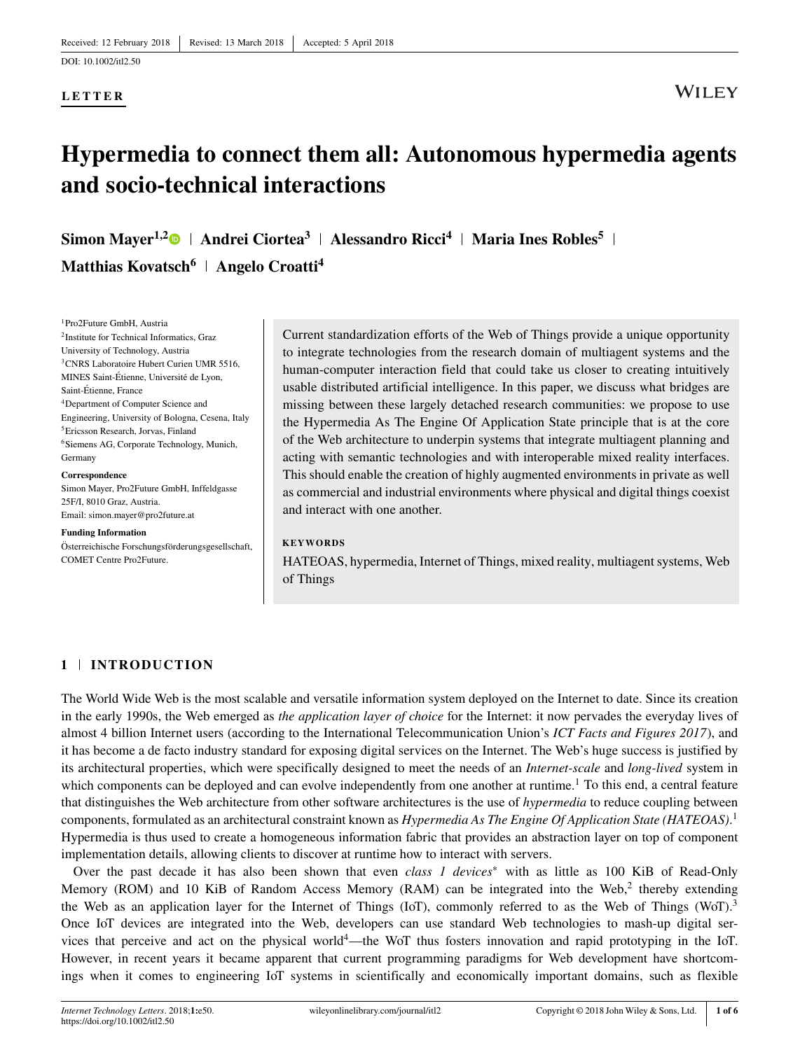## **LETTER**

## **Hypermedia to connect them all: Autonomous hypermedia agents and socio-technical interactions**

**Simon Mayer1,[2](http://orcid.org/0000-0001-6367-3454) Andrei Ciortea<sup>3</sup> Alessandro Ricci<sup>4</sup> Maria Ines Robles<sup>5</sup> Matthias Kovatsch<sup>6</sup> Angelo Croatti<sup>4</sup>**

1Pro2Future GmbH, Austria 2Institute for Technical Informatics, Graz University of Technology, Austria <sup>3</sup>CNRS Laboratoire Hubert Curien UMR 5516. MINES Saint-Étienne, Université de Lyon, Saint-Étienne, France 4Department of Computer Science and Engineering, University of Bologna, Cesena, Italy 5Ericsson Research, Jorvas, Finland 6Siemens AG, Corporate Technology, Munich, Germany

**Correspondence** Simon Mayer, Pro2Future GmbH, Inffeldgasse 25F/I, 8010 Graz, Austria. Email: simon.mayer@pro2future.at

#### **Funding Information**

Österreichische Forschungsförderungsgesellschaft, COMET Centre Pro2Future.

Current standardization efforts of the Web of Things provide a unique opportunity to integrate technologies from the research domain of multiagent systems and the human-computer interaction field that could take us closer to creating intuitively usable distributed artificial intelligence. In this paper, we discuss what bridges are missing between these largely detached research communities: we propose to use the Hypermedia As The Engine Of Application State principle that is at the core of the Web architecture to underpin systems that integrate multiagent planning and acting with semantic technologies and with interoperable mixed reality interfaces. This should enable the creation of highly augmented environments in private as well as commercial and industrial environments where physical and digital things coexist and interact with one another.

### **KEYWORDS**

HATEOAS, hypermedia, Internet of Things, mixed reality, multiagent systems, Web of Things

## **1 INTRODUCTION**

The World Wide Web is the most scalable and versatile information system deployed on the Internet to date. Since its creation in the early 1990s, the Web emerged as *the application layer of choice* for the Internet: it now pervades the everyday lives of almost 4 billion Internet users (according to the International Telecommunication Union's *ICT Facts and Figures 2017*), and it has become a de facto industry standard for exposing digital services on the Internet. The Web's huge success is justified by its architectural properties, which were specifically designed to meet the needs of an *Internet-scale* and *long-lived* system in which components can be deployed and can evolve independently from one another at runtime.<sup>1</sup> To this end, a central feature that distinguishes the Web architecture from other software architectures is the use of *hypermedia* to reduce coupling between components, formulated as an architectural constraint known as *Hypermedia As The Engine Of Application State (HATEOAS)*. 1 Hypermedia is thus used to create a homogeneous information fabric that provides an abstraction layer on top of component implementation details, allowing clients to discover at runtime how to interact with servers.

Over the past decade it has also been shown that even *class 1 devices*<sup>∗</sup> with as little as 100 KiB of Read-Only Memory (ROM) and 10 KiB of Random Access Memory (RAM) can be integrated into the Web,<sup>2</sup> thereby extending the Web as an application layer for the Internet of Things (IoT), commonly referred to as the Web of Things (WoT).<sup>3</sup> Once IoT devices are integrated into the Web, developers can use standard Web technologies to mash-up digital services that perceive and act on the physical world4—the WoT thus fosters innovation and rapid prototyping in the IoT. However, in recent years it became apparent that current programming paradigms for Web development have shortcomings when it comes to engineering IoT systems in scientifically and economically important domains, such as flexible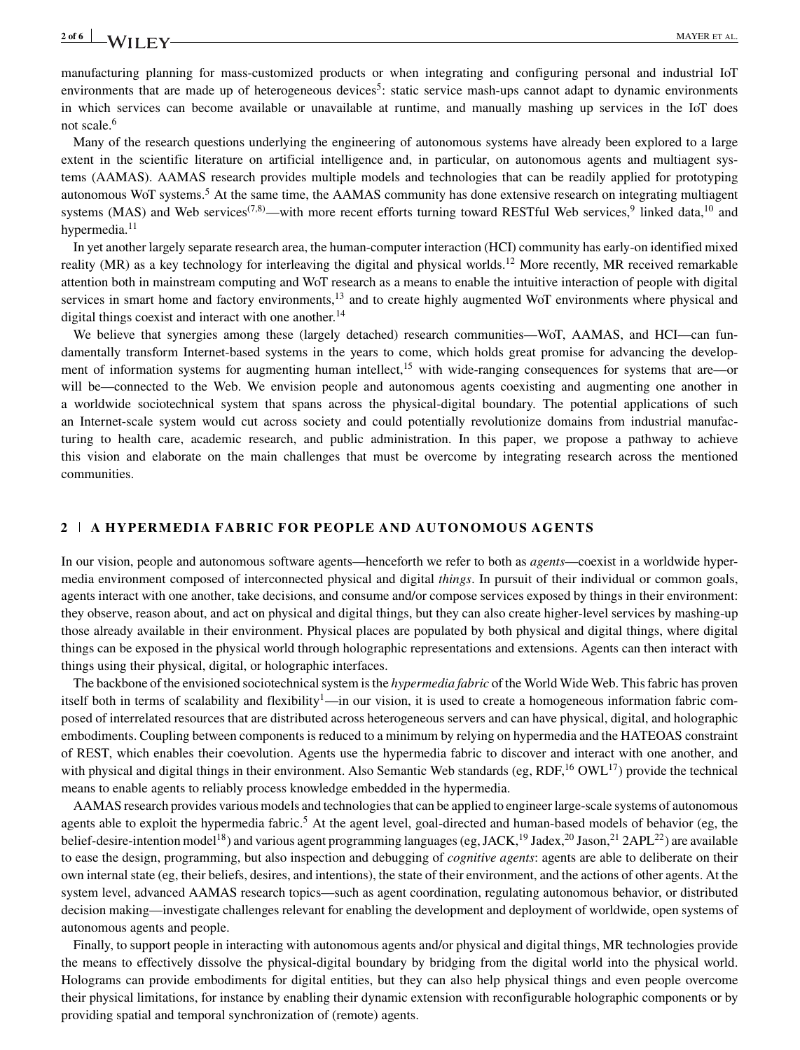## **2 of 6** MAYER ET AL.

manufacturing planning for mass-customized products or when integrating and configuring personal and industrial IoT environments that are made up of heterogeneous devices<sup>5</sup>: static service mash-ups cannot adapt to dynamic environments in which services can become available or unavailable at runtime, and manually mashing up services in the IoT does not scale.<sup>6</sup>

Many of the research questions underlying the engineering of autonomous systems have already been explored to a large extent in the scientific literature on artificial intelligence and, in particular, on autonomous agents and multiagent systems (AAMAS). AAMAS research provides multiple models and technologies that can be readily applied for prototyping autonomous WoT systems.<sup>5</sup> At the same time, the AAMAS community has done extensive research on integrating multiagent systems (MAS) and Web services<sup>(7,8)</sup>—with more recent efforts turning toward RESTful Web services,<sup>9</sup> linked data,<sup>10</sup> and hypermedia. $11$ 

In yet another largely separate research area, the human-computer interaction (HCI) community has early-on identified mixed reality (MR) as a key technology for interleaving the digital and physical worlds.<sup>12</sup> More recently, MR received remarkable attention both in mainstream computing and WoT research as a means to enable the intuitive interaction of people with digital services in smart home and factory environments, $13$  and to create highly augmented WoT environments where physical and digital things coexist and interact with one another.<sup>14</sup>

We believe that synergies among these (largely detached) research communities—WoT, AAMAS, and HCI—can fundamentally transform Internet-based systems in the years to come, which holds great promise for advancing the development of information systems for augmenting human intellect,<sup>15</sup> with wide-ranging consequences for systems that are—or will be—connected to the Web. We envision people and autonomous agents coexisting and augmenting one another in a worldwide sociotechnical system that spans across the physical-digital boundary. The potential applications of such an Internet-scale system would cut across society and could potentially revolutionize domains from industrial manufacturing to health care, academic research, and public administration. In this paper, we propose a pathway to achieve this vision and elaborate on the main challenges that must be overcome by integrating research across the mentioned communities.

## **2 A HYPERMEDIA FABRIC FOR PEOPLE AND AUTONOMOUS AGENTS**

In our vision, people and autonomous software agents—henceforth we refer to both as *agents*—coexist in a worldwide hypermedia environment composed of interconnected physical and digital *things*. In pursuit of their individual or common goals, agents interact with one another, take decisions, and consume and/or compose services exposed by things in their environment: they observe, reason about, and act on physical and digital things, but they can also create higher-level services by mashing-up those already available in their environment. Physical places are populated by both physical and digital things, where digital things can be exposed in the physical world through holographic representations and extensions. Agents can then interact with things using their physical, digital, or holographic interfaces.

The backbone of the envisioned sociotechnical system is the *hypermedia fabric* of the World Wide Web. This fabric has proven itself both in terms of scalability and flexibility<sup>1</sup>—in our vision, it is used to create a homogeneous information fabric composed of interrelated resources that are distributed across heterogeneous servers and can have physical, digital, and holographic embodiments. Coupling between components is reduced to a minimum by relying on hypermedia and the HATEOAS constraint of REST, which enables their coevolution. Agents use the hypermedia fabric to discover and interact with one another, and with physical and digital things in their environment. Also Semantic Web standards (eg,  $RDF<sub>1</sub><sup>16</sup> QWL<sub>1</sub><sup>17</sup>$ ) provide the technical means to enable agents to reliably process knowledge embedded in the hypermedia.

AAMAS research provides various models and technologies that can be applied to engineer large-scale systems of autonomous agents able to exploit the hypermedia fabric.<sup>5</sup> At the agent level, goal-directed and human-based models of behavior (eg, the belief-desire-intention model<sup>18</sup>) and various agent programming languages (eg, JACK,<sup>19</sup> Jadex,<sup>20</sup> Jason,<sup>21</sup> 2APL<sup>22</sup>) are available to ease the design, programming, but also inspection and debugging of *cognitive agents*: agents are able to deliberate on their own internal state (eg, their beliefs, desires, and intentions), the state of their environment, and the actions of other agents. At the system level, advanced AAMAS research topics—such as agent coordination, regulating autonomous behavior, or distributed decision making—investigate challenges relevant for enabling the development and deployment of worldwide, open systems of autonomous agents and people.

Finally, to support people in interacting with autonomous agents and/or physical and digital things, MR technologies provide the means to effectively dissolve the physical-digital boundary by bridging from the digital world into the physical world. Holograms can provide embodiments for digital entities, but they can also help physical things and even people overcome their physical limitations, for instance by enabling their dynamic extension with reconfigurable holographic components or by providing spatial and temporal synchronization of (remote) agents.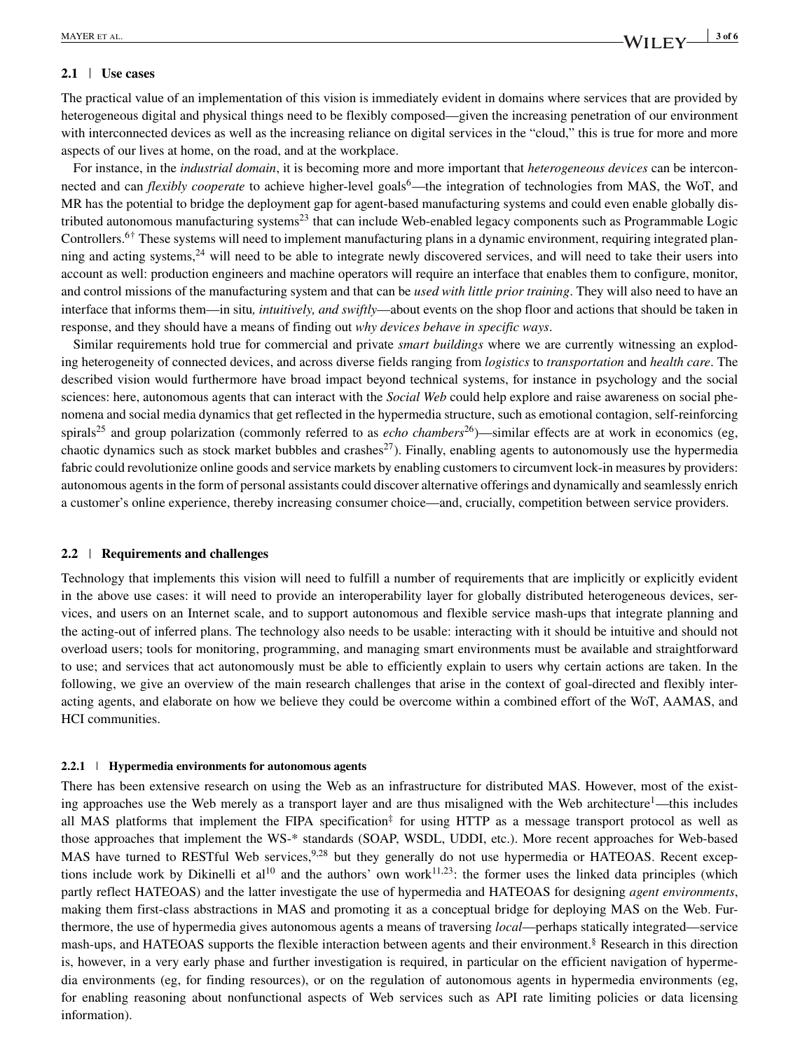## **2.1 Use cases**

The practical value of an implementation of this vision is immediately evident in domains where services that are provided by heterogeneous digital and physical things need to be flexibly composed—given the increasing penetration of our environment with interconnected devices as well as the increasing reliance on digital services in the "cloud," this is true for more and more aspects of our lives at home, on the road, and at the workplace.

For instance, in the *industrial domain*, it is becoming more and more important that *heterogeneous devices* can be interconnected and can *flexibly cooperate* to achieve higher-level goals<sup>6</sup>—the integration of technologies from MAS, the WoT, and MR has the potential to bridge the deployment gap for agent-based manufacturing systems and could even enable globally distributed autonomous manufacturing systems<sup>23</sup> that can include Web-enabled legacy components such as Programmable Logic Controllers.<sup>6†</sup> These systems will need to implement manufacturing plans in a dynamic environment, requiring integrated planning and acting systems, $24$  will need to be able to integrate newly discovered services, and will need to take their users into account as well: production engineers and machine operators will require an interface that enables them to configure, monitor, and control missions of the manufacturing system and that can be *used with little prior training*. They will also need to have an interface that informs them—in situ*, intuitively, and swiftly*—about events on the shop floor and actions that should be taken in response, and they should have a means of finding out *why devices behave in specific ways*.

Similar requirements hold true for commercial and private *smart buildings* where we are currently witnessing an exploding heterogeneity of connected devices, and across diverse fields ranging from *logistics* to *transportation* and *health care*. The described vision would furthermore have broad impact beyond technical systems, for instance in psychology and the social sciences: here, autonomous agents that can interact with the *Social Web* could help explore and raise awareness on social phenomena and social media dynamics that get reflected in the hypermedia structure, such as emotional contagion, self-reinforcing spirals<sup>25</sup> and group polarization (commonly referred to as *echo chambers*<sup>26</sup>)—similar effects are at work in economics (eg, chaotic dynamics such as stock market bubbles and crashes<sup>27</sup>). Finally, enabling agents to autonomously use the hypermedia fabric could revolutionize online goods and service markets by enabling customers to circumvent lock-in measures by providers: autonomous agents in the form of personal assistants could discover alternative offerings and dynamically and seamlessly enrich a customer's online experience, thereby increasing consumer choice—and, crucially, competition between service providers.

## **2.2 Requirements and challenges**

Technology that implements this vision will need to fulfill a number of requirements that are implicitly or explicitly evident in the above use cases: it will need to provide an interoperability layer for globally distributed heterogeneous devices, services, and users on an Internet scale, and to support autonomous and flexible service mash-ups that integrate planning and the acting-out of inferred plans. The technology also needs to be usable: interacting with it should be intuitive and should not overload users; tools for monitoring, programming, and managing smart environments must be available and straightforward to use; and services that act autonomously must be able to efficiently explain to users why certain actions are taken. In the following, we give an overview of the main research challenges that arise in the context of goal-directed and flexibly interacting agents, and elaborate on how we believe they could be overcome within a combined effort of the WoT, AAMAS, and HCI communities.

#### **2.2.1 Hypermedia environments for autonomous agents**

There has been extensive research on using the Web as an infrastructure for distributed MAS. However, most of the existing approaches use the Web merely as a transport layer and are thus misaligned with the Web architecture<sup>1</sup>—this includes all MAS platforms that implement the FIPA specification<sup>‡</sup> for using HTTP as a message transport protocol as well as those approaches that implement the WS-\* standards (SOAP, WSDL, UDDI, etc.). More recent approaches for Web-based MAS have turned to RESTful Web services,<sup>9,28</sup> but they generally do not use hypermedia or HATEOAS. Recent exceptions include work by Dikinelli et al<sup>10</sup> and the authors' own work<sup>11,23</sup>: the former uses the linked data principles (which partly reflect HATEOAS) and the latter investigate the use of hypermedia and HATEOAS for designing *agent environments*, making them first-class abstractions in MAS and promoting it as a conceptual bridge for deploying MAS on the Web. Furthermore, the use of hypermedia gives autonomous agents a means of traversing *local*—perhaps statically integrated—service mash-ups, and HATEOAS supports the flexible interaction between agents and their environment.§ Research in this direction is, however, in a very early phase and further investigation is required, in particular on the efficient navigation of hypermedia environments (eg, for finding resources), or on the regulation of autonomous agents in hypermedia environments (eg, for enabling reasoning about nonfunctional aspects of Web services such as API rate limiting policies or data licensing information).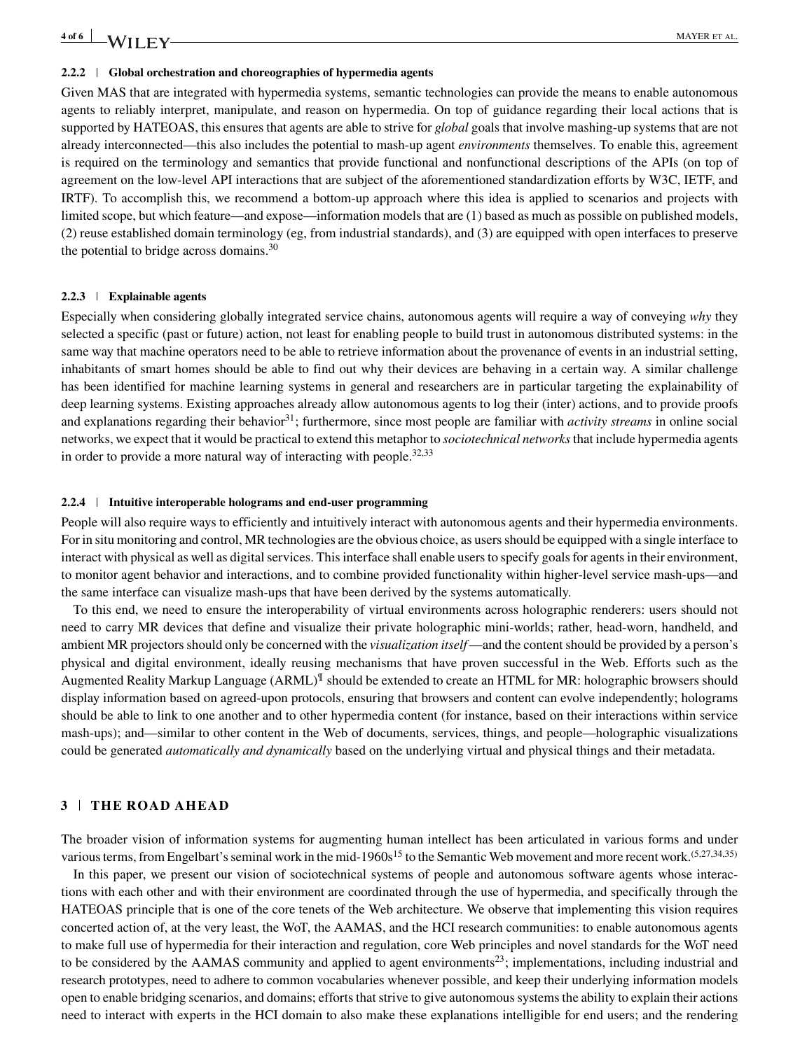#### **2.2.2 Global orchestration and choreographies of hypermedia agents**

Given MAS that are integrated with hypermedia systems, semantic technologies can provide the means to enable autonomous agents to reliably interpret, manipulate, and reason on hypermedia. On top of guidance regarding their local actions that is supported by HATEOAS, this ensures that agents are able to strive for *global* goals that involve mashing-up systems that are not already interconnected—this also includes the potential to mash-up agent *environments* themselves. To enable this, agreement is required on the terminology and semantics that provide functional and nonfunctional descriptions of the APIs (on top of agreement on the low-level API interactions that are subject of the aforementioned standardization efforts by W3C, IETF, and IRTF). To accomplish this, we recommend a bottom-up approach where this idea is applied to scenarios and projects with limited scope, but which feature—and expose—information models that are (1) based as much as possible on published models, (2) reuse established domain terminology (eg, from industrial standards), and (3) are equipped with open interfaces to preserve the potential to bridge across domains.<sup>30</sup>

### **2.2.3 Explainable agents**

Especially when considering globally integrated service chains, autonomous agents will require a way of conveying *why* they selected a specific (past or future) action, not least for enabling people to build trust in autonomous distributed systems: in the same way that machine operators need to be able to retrieve information about the provenance of events in an industrial setting, inhabitants of smart homes should be able to find out why their devices are behaving in a certain way. A similar challenge has been identified for machine learning systems in general and researchers are in particular targeting the explainability of deep learning systems. Existing approaches already allow autonomous agents to log their (inter) actions, and to provide proofs and explanations regarding their behavior<sup>31</sup>; furthermore, since most people are familiar with *activity streams* in online social networks, we expect that it would be practical to extend this metaphor to *sociotechnical networks*that include hypermedia agents in order to provide a more natural way of interacting with people.<sup>32</sup>*,*<sup>33</sup>

#### **2.2.4 Intuitive interoperable holograms and end-user programming**

People will also require ways to efficiently and intuitively interact with autonomous agents and their hypermedia environments. For in situ monitoring and control, MR technologies are the obvious choice, as users should be equipped with a single interface to interact with physical as well as digital services. This interface shall enable users to specify goals for agents in their environment, to monitor agent behavior and interactions, and to combine provided functionality within higher-level service mash-ups—and the same interface can visualize mash-ups that have been derived by the systems automatically.

To this end, we need to ensure the interoperability of virtual environments across holographic renderers: users should not need to carry MR devices that define and visualize their private holographic mini-worlds; rather, head-worn, handheld, and ambient MR projectors should only be concerned with the *visualization itself*—and the content should be provided by a person's physical and digital environment, ideally reusing mechanisms that have proven successful in the Web. Efforts such as the Augmented Reality Markup Language (ARML)¶ should be extended to create an HTML for MR: holographic browsers should display information based on agreed-upon protocols, ensuring that browsers and content can evolve independently; holograms should be able to link to one another and to other hypermedia content (for instance, based on their interactions within service mash-ups); and—similar to other content in the Web of documents, services, things, and people—holographic visualizations could be generated *automatically and dynamically* based on the underlying virtual and physical things and their metadata.

## **3 THE ROAD AHEAD**

The broader vision of information systems for augmenting human intellect has been articulated in various forms and under various terms, from Engelbart's seminal work in the mid-1960s<sup>15</sup> to the Semantic Web movement and more recent work.<sup>(5,27,34,35)</sup>

In this paper, we present our vision of sociotechnical systems of people and autonomous software agents whose interactions with each other and with their environment are coordinated through the use of hypermedia, and specifically through the HATEOAS principle that is one of the core tenets of the Web architecture. We observe that implementing this vision requires concerted action of, at the very least, the WoT, the AAMAS, and the HCI research communities: to enable autonomous agents to make full use of hypermedia for their interaction and regulation, core Web principles and novel standards for the WoT need to be considered by the AAMAS community and applied to agent environments<sup>23</sup>; implementations, including industrial and research prototypes, need to adhere to common vocabularies whenever possible, and keep their underlying information models open to enable bridging scenarios, and domains; efforts that strive to give autonomous systems the ability to explain their actions need to interact with experts in the HCI domain to also make these explanations intelligible for end users; and the rendering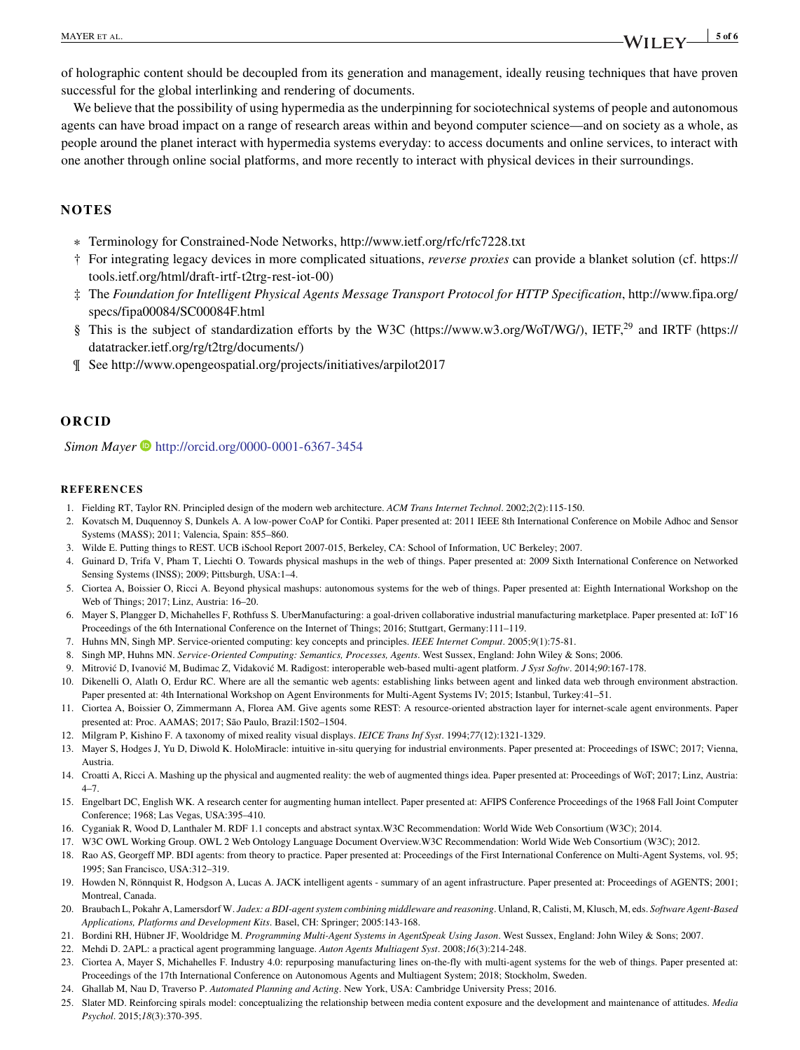**MAYER ET AL.** 5 of 6

of holographic content should be decoupled from its generation and management, ideally reusing techniques that have proven successful for the global interlinking and rendering of documents.

We believe that the possibility of using hypermedia as the underpinning for sociotechnical systems of people and autonomous agents can have broad impact on a range of research areas within and beyond computer science—and on society as a whole, as people around the planet interact with hypermedia systems everyday: to access documents and online services, to interact with one another through online social platforms, and more recently to interact with physical devices in their surroundings.

## **NOTES**

- ∗ Terminology for Constrained-Node Networks,<http://www.ietf.org/rfc/rfc7228.txt>
- † For integrating legacy devices in more complicated situations, *reverse proxies* can provide a blanket solution (cf. [https://](https://tools.ietf.org/html/draft-irtf-t2trg-rest-iot-00) [tools.ietf.org/html/draft-irtf-t2trg-rest-iot-00\)](https://tools.ietf.org/html/draft-irtf-t2trg-rest-iot-00)
- ‡ The *Foundation for Intelligent Physical Agents Message Transport Protocol for HTTP Specification*, [http://www.fipa.org/](http://www.fipa.org/specs/fipa00084/SC00084F.html) [specs/fipa00084/SC00084F.html](http://www.fipa.org/specs/fipa00084/SC00084F.html)
- § This is the subject of standardization efforts by the W3C [\(https://www.w3.org/WoT/WG/\)](https://www.w3.org/WoT/WG/), IETF,<sup>29</sup> and IRTF [\(https://](https://datatracker.ietf.org/rg/t2trg/documents/) [datatracker.ietf.org/rg/t2trg/documents/\)](https://datatracker.ietf.org/rg/t2trg/documents/)
- ¶ See<http://www.opengeospatial.org/projects/initiatives/arpilot2017>

## **ORCID**

*Simon Mayer* • <http://orcid.org/0000-0001-6367-3454>

#### **REFERENCES**

- 1. Fielding RT, Taylor RN. Principled design of the modern web architecture. *ACM Trans Internet Technol*. 2002;*2*(2):115-150.
- 2. Kovatsch M, Duquennoy S, Dunkels A. A low-power CoAP for Contiki. Paper presented at: 2011 IEEE 8th International Conference on Mobile Adhoc and Sensor Systems (MASS); 2011; Valencia, Spain: 855–860.
- 3. Wilde E. Putting things to REST. UCB iSchool Report 2007-015, Berkeley, CA: School of Information, UC Berkeley; 2007.
- 4. Guinard D, Trifa V, Pham T, Liechti O. Towards physical mashups in the web of things. Paper presented at: 2009 Sixth International Conference on Networked Sensing Systems (INSS); 2009; Pittsburgh, USA:1–4.
- 5. Ciortea A, Boissier O, Ricci A. Beyond physical mashups: autonomous systems for the web of things. Paper presented at: Eighth International Workshop on the Web of Things; 2017; Linz, Austria: 16–20.
- 6. Mayer S, Plangger D, Michahelles F, Rothfuss S. UberManufacturing: a goal-driven collaborative industrial manufacturing marketplace. Paper presented at: IoT'16 Proceedings of the 6th International Conference on the Internet of Things; 2016; Stuttgart, Germany:111–119.
- 7. Huhns MN, Singh MP. Service-oriented computing: key concepts and principles. *IEEE Internet Comput*. 2005;*9*(1):75-81.
- 8. Singh MP, Huhns MN. *Service-Oriented Computing: Semantics, Processes, Agents*. West Sussex, England: John Wiley & Sons; 2006.
- 9. Mitrović D, Ivanović M, Budimac Z, Vidaković M. Radigost: interoperable web-based multi-agent platform. *J Syst Softw.* 2014;90:167-178.
- 10. Dikenelli O, Alatlı O, Erdur RC. Where are all the semantic web agents: establishing links between agent and linked data web through environment abstraction. Paper presented at: 4th International Workshop on Agent Environments for Multi-Agent Systems IV; 2015; Istanbul, Turkey:41–51.
- 11. Ciortea A, Boissier O, Zimmermann A, Florea AM. Give agents some REST: A resource-oriented abstraction layer for internet-scale agent environments. Paper presented at: Proc. AAMAS; 2017; São Paulo, Brazil:1502–1504.
- 12. Milgram P, Kishino F. A taxonomy of mixed reality visual displays. *IEICE Trans Inf Syst*. 1994;*77*(12):1321-1329.
- 13. Mayer S, Hodges J, Yu D, Diwold K. HoloMiracle: intuitive in-situ querying for industrial environments. Paper presented at: Proceedings of ISWC; 2017; Vienna, Austria.
- 14. Croatti A, Ricci A. Mashing up the physical and augmented reality: the web of augmented things idea. Paper presented at: Proceedings of WoT; 2017; Linz, Austria: 4–7.
- 15. Engelbart DC, English WK. A research center for augmenting human intellect. Paper presented at: AFIPS Conference Proceedings of the 1968 Fall Joint Computer Conference; 1968; Las Vegas, USA:395–410.
- 16. Cyganiak R, Wood D, Lanthaler M. RDF 1.1 concepts and abstract syntax.W3C Recommendation: World Wide Web Consortium (W3C); 2014.
- 17. W3C OWL Working Group. OWL 2 Web Ontology Language Document Overview.W3C Recommendation: World Wide Web Consortium (W3C); 2012.
- 18. Rao AS, Georgeff MP. BDI agents: from theory to practice. Paper presented at: Proceedings of the First International Conference on Multi-Agent Systems, vol. 95; 1995; San Francisco, USA:312–319.
- 19. Howden N, Rönnquist R, Hodgson A, Lucas A. JACK intelligent agents summary of an agent infrastructure. Paper presented at: Proceedings of AGENTS; 2001; Montreal, Canada.
- 20. Braubach L, Pokahr A, Lamersdorf W. *Jadex: a BDI-agent system combining middleware and reasoning*. Unland, R, Calisti, M, Klusch, M, eds. *Software Agent-Based Applications, Platforms and Development Kits*. Basel, CH: Springer; 2005:143-168.
- 21. Bordini RH, Hübner JF, Wooldridge M. *Programming Multi-Agent Systems in AgentSpeak Using Jason*. West Sussex, England: John Wiley & Sons; 2007.
- 22. Mehdi D. 2APL: a practical agent programming language. *Auton Agents Multiagent Syst*. 2008;*16*(3):214-248.
- 23. Ciortea A, Mayer S, Michahelles F. Industry 4.0: repurposing manufacturing lines on-the-fly with multi-agent systems for the web of things. Paper presented at: Proceedings of the 17th International Conference on Autonomous Agents and Multiagent System; 2018; Stockholm, Sweden.
- 24. Ghallab M, Nau D, Traverso P. *Automated Planning and Acting*. New York, USA: Cambridge University Press; 2016.
- 25. Slater MD. Reinforcing spirals model: conceptualizing the relationship between media content exposure and the development and maintenance of attitudes. *Media Psychol*. 2015;*18*(3):370-395.